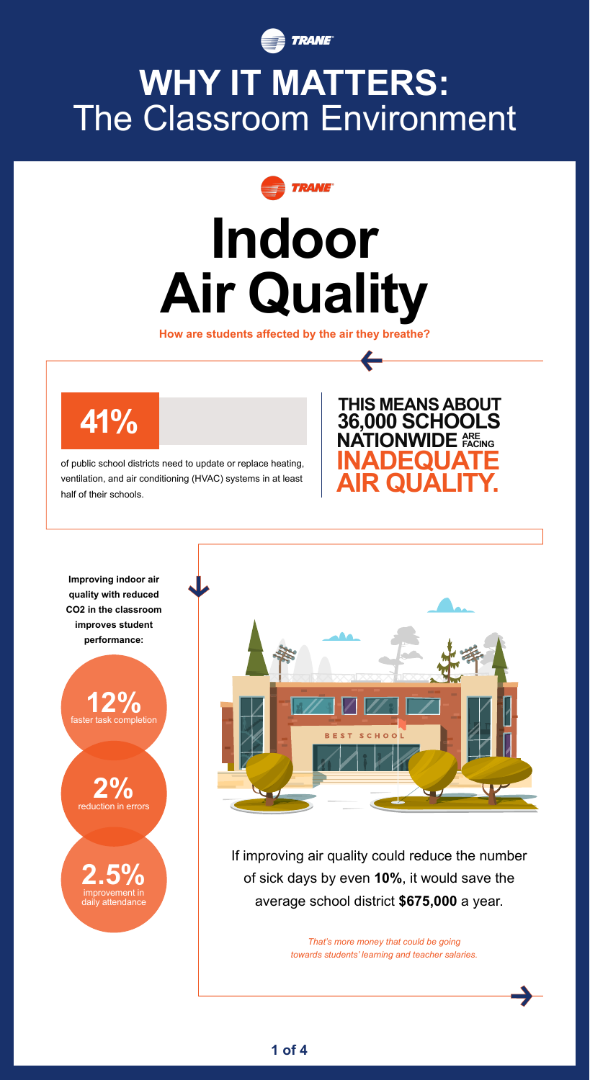## **Indoor Air Quality**



## **WHY IT MATTERS:**  The Classroom Environment



**How are students affected by the air they breathe?**



of public school districts need to update or replace heating, ventilation, and air conditioning (HVAC) systems in at least half of their schools.

> *That's more money that could be going towards students' learning and teacher salaries.*

**2.5%** improvement in daily attendance

If improving air quality could reduce the number of sick days by even **10%**, it would save the

**BEST SCHOOL** 

**Improving indoor air quality with reduced CO2 in the classroom improves student performance:** faster task completion **12%**

average school district **\$675,000** a year.

**41% 36,000 SCHOOLS THIS MEANS ABOUT ARE NATIONWIDE FACING**

## **INADEQUATE AIR QUALITY.**

reduction in errors **2%**

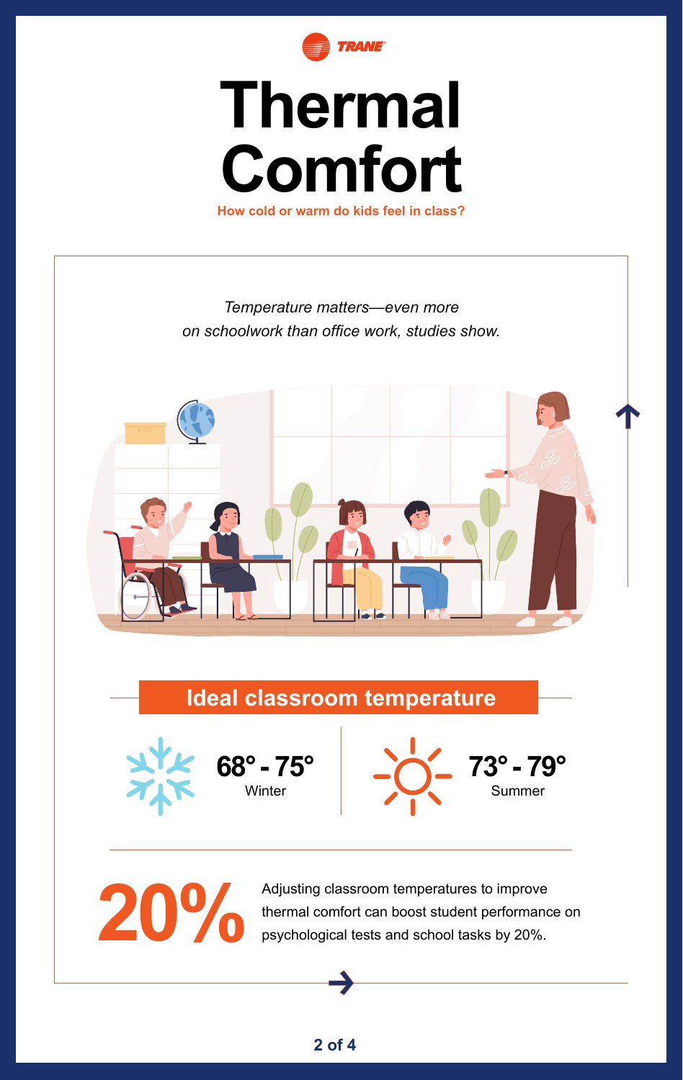

## **Thermal Comfort**





# **20%**



Adjusting classroom temperatures to improve thermal comfort can boost student performance on psychological tests and school tasks by 20%.

**How cold or warm do kids feel in class?**



## **Ideal classroom temperature**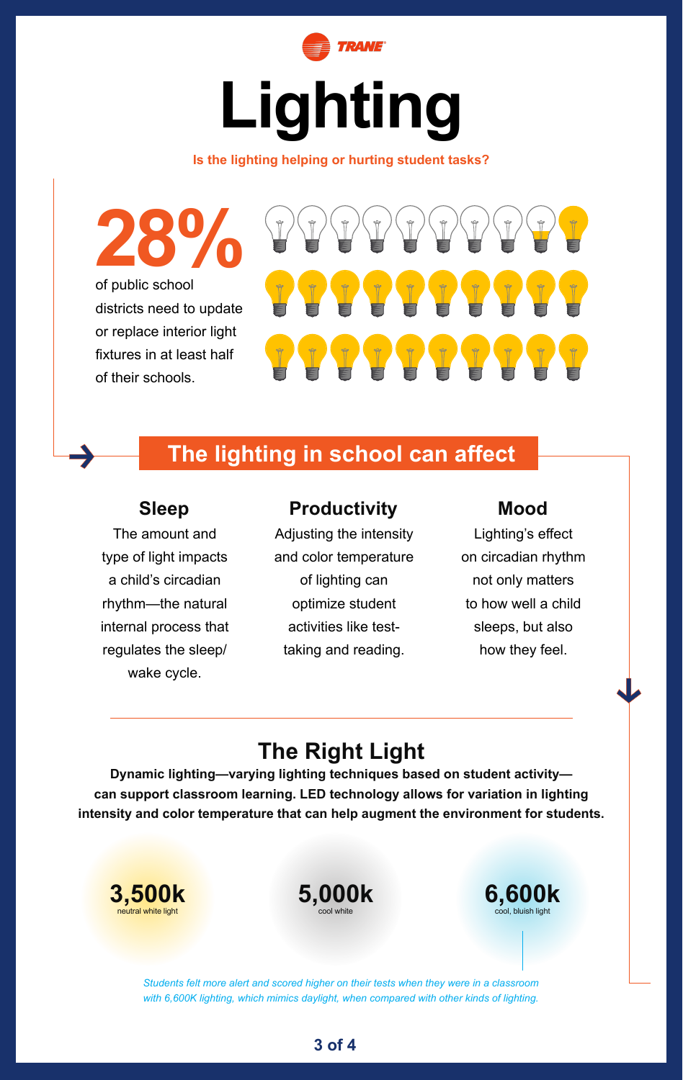

# **Lighting**



of public school districts need to update or replace interior light fixtures in at least half of their schools.



The amount and type of light impacts a child's circadian rhythm—the natural internal process that regulates the sleep/ wake cycle.

Adjusting the intensity and color temperature of lighting can optimize student activities like testtaking and reading.

Lighting's effect on circadian rhythm not only matters to how well a child sleeps, but also how they feel.

**Is the lighting helping or hurting student tasks?**

**Sleep Productivity Mood**

## **The Right Light**

**Dynamic lighting—varying lighting techniques based on student activity can support classroom learning. LED technology allows for variation in lighting intensity and color temperature that can help augment the environment for students.**

> *Students felt more alert and scored higher on their tests when they were in a classroom with 6,600K lighting, which mimics daylight, when compared with other kinds of lighting.*

### **The lighting in school can affect**